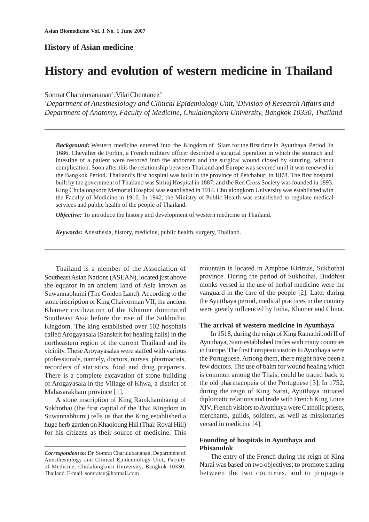# **History of Asian medicine**

# **History and evolution of western medicine in Thailand**

Somrat Charuluxananan<sup>a</sup>, Vilai Chentanez<sup>b</sup>

<sup>a</sup>Department of Anesthesiology and Clinical Epidemiology Unit, <sup>b</sup>Division of Research Affairs and *Department of Anatomy, Faculty of Medicine, Chulalongkorn University, Bangkok 10330, Thailand*

*Background:* Western medicine entered into the Kingdom of Siam for the first time in Ayutthaya Period. In 1686, Chevalier de Forbin, a French military officer described a surgical operation in which the stomach and intestine of a patient were restored into the abdomen and the surgical wound closed by suturing, without complication. Soon after this the relationship between Thailand and Europe was severed until it was renewed in the Bangkok Period. Thailand's first hospital was built in the province of Petchaburi in 1878. The first hospital built by the government of Thailand was Siriraj Hospital in 1887; and the Red Cross Society was founded in 1893. King Chulalongkorn Memorial Hospital was established in 1914. Chulalongkorn University was established with the Faculty of Medicine in 1916. In 1942, the Ministry of Public Health was established to regulate medical services and public health of the people of Thailand.

*Objective:* To introduce the history and development of western medicine in Thailand.

*Keywords:* Anesthesia, history, medicine, public health, surgery, Thailand.

Thailand is a member of the Association of Southeast Asian Nations (ASEAN), located just above the equator in an ancient land of Asia known as Suwannabhumi (The Golden Land). According to the stone inscription of King Chaivorman VII, the ancient Khamer civilization of the Khamer dominated Southeast Asia before the rise of the Sukhothai Kingdom. The king established over 102 hospitals called Arogayasala (Sanskrit for healing halls) in the northeastern region of the current Thailand and its vicinity. These Aroyayasalas were staffed with various professionals, namely, doctors, nurses, pharmacists, recorders of statistics, food and drug preparers. There is a complete excavation of stone building of Arogayasala in the Village of Khwa, a district of Mahasarakham province [1].

A stone inscription of King Ramkhamhaeng of Sukhothai (the first capital of the Thai Kingdom in Suwannabhumi) tells us that the King established a huge herb garden on Khaoloung Hill (Thai: Royal Hill) for his citizens as their source of medicine. This mountain is located in Amphoe Kirimas, Sukhothai province. During the period of Sukhothai, Buddhist monks versed in the use of herbal medicine were the vanguard in the care of the people [2]. Later during the Ayutthaya period, medical practices in the country were greatly influenced by India, Khamer and China.

#### **The arrival of western medicine in Ayutthaya**

In 1518, during the reign of King Ramathibodi II of Ayutthaya, Siam established trades with many countries in Europe. The first European visitors to Ayutthaya were the Portuguese. Among them, there might have been a few doctors. The use of balm for wound healing which is common among the Thais, could be traced back to the old pharmacopeia of the Portuguese [3]. In 1752, during the reign of King Narai, Ayutthaya initiated diplomatic relations and trade with French King Louis XIV. French visitors to Ayutthaya were Catholic priests, merchants, guilds, soldiers, as well as missionaries versed in medicine [4].

# **Founding of hospitals in Ayutthaya and Phisanulok**

The entry of the French during the reign of King Narai was based on two objectives; to promote trading between the two countries, and to propagate

*Correspondent to:* Dr. Somrat Charuluxananan, Department of Anesthesiology and Clinical Epidemiology Unit, Faculty of Medicine, Chulalongkorn University, Bangkok 10330, Thailand. E-mail: somratcu@hotmail.com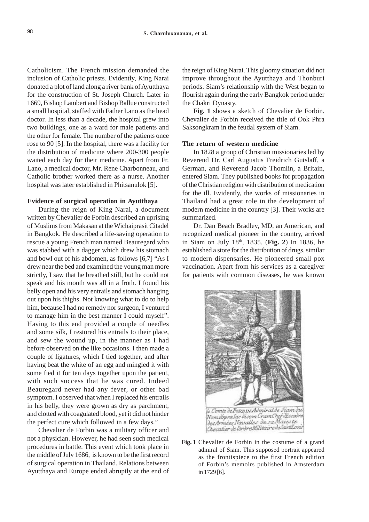Catholicism. The French mission demanded the inclusion of Catholic priests. Evidently, King Narai donated a plot of land along a river bank of Ayutthaya for the construction of St. Joseph Church. Later in 1669, Bishop Lambert and Bishop Ballue constructed a small hospital, staffed with Father Lano as the head doctor. In less than a decade, the hospital grew into two buildings, one as a ward for male patients and the other for female. The number of the patients once rose to 90 [5]. In the hospital, there was a facility for the distribution of medicine where 200-300 people waited each day for their medicine. Apart from Fr. Lano, a medical doctor, Mr. Rene Charbonneau, and Catholic brother worked there as a nurse. Another hospital was later established in Phitsanulok [5].

#### **Evidence of surgical operation in Ayutthaya**

During the reign of King Narai, a document written by Chevalier de Forbin described an uprising of Muslims from Makasan at the Wichaiprasit Citadel in Bangkok. He described a life-saving operation to rescue a young French man named Beauregard who was stabbed with a dagger which drew his stomach and bowl out of his abdomen, as follows [6,7] "As I drew near the bed and examined the young man more strictly, I saw that he breathed still, but he could not speak and his mouth was all in a froth. I found his belly open and his very entrails and stomach hanging out upon his thighs. Not knowing what to do to help him, because I had no remedy nor surgeon, I ventured to manage him in the best manner I could myself". Having to this end provided a couple of needles and some silk, I restored his entrails to their place, and sew the wound up, in the manner as I had before observed on the like occasions. I then made a couple of ligatures, which I tied together, and after having beat the white of an egg and mingled it with some fied it for ten days together upon the patient, with such success that he was cured. Indeed Beauregard never had any fever, or other bad symptom. I observed that when I replaced his entrails in his belly, they were grown as dry as parchment, and clotted with coagulated blood, yet it did not hinder the perfect cure which followed in a few days."

Chevalier de Forbin was a military officer and not a physician. However, he had seen such medical procedures in battle. This event which took place in the middle of July 1686, is known to be the first record of surgical operation in Thailand. Relations between Ayutthaya and Europe ended abruptly at the end of

the reign of King Narai. This gloomy situation did not improve throughout the Ayutthaya and Thonburi periods. Siam's relationship with the West began to flourish again during the early Bangkok period under the Chakri Dynasty.

**Fig. 1** shows a sketch of Chevalier de Forbin. Chevalier de Forbin received the title of Ook Phra Saksongkram in the feudal system of Siam.

## **The return of western medicine**

In 1828 a group of Christian missionaries led by Reverend Dr. Carl Augustus Freidrich Gutslaff, a German, and Reverend Jacob Thomlin, a Britain, entered Siam. They published books for propagation of the Christian religion with distribution of medication for the ill. Evidently, the works of missionaries in Thailand had a great role in the development of modern medicine in the country [3]. Their works are summarized.

Dr. Dan Beach Bradley, MD, an American, and recognized medical pioneer in the country, arrived in Siam on July 18th, 1835. (**Fig. 2**) In 1836, he established a store for the distribution of drugs, similar to modern dispensaries. He pioneered small pox vaccination. Apart from his services as a caregiver for patients with common diseases, he was known



**Fig. 1** Chevalier de Forbin in the costume of a grand admiral of Siam. This supposed portrait appeared as the frontispiece to the first French edition of Forbin's memoirs published in Amsterdam in 1729 [6].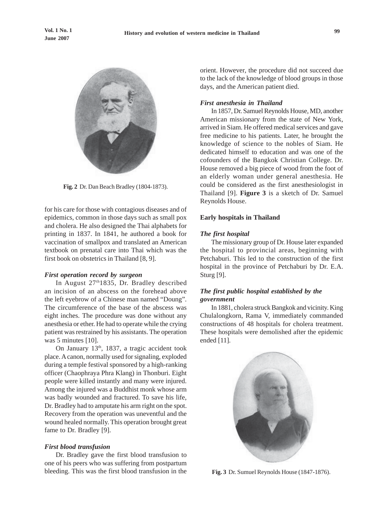

**Fig. 2** Dr. Dan Beach Bradley (1804-1873).

for his care for those with contagious diseases and of epidemics, common in those days such as small pox and cholera. He also designed the Thai alphabets for printing in 1837. In 1841, he authored a book for vaccination of smallpox and translated an American textbook on prenatal care into Thai which was the first book on obstetrics in Thailand [8, 9].

## *First operation record by surgeon*

In August 27<sup>th</sup>1835, Dr. Bradley described an incision of an abscess on the forehead above the left eyebrow of a Chinese man named "Doung". The circumference of the base of the abscess was eight inches. The procedure was done without any anesthesia or ether. He had to operate while the crying patient was restrained by his assistants. The operation was 5 minutes [10].

On January 13<sup>th</sup>, 1837, a tragic accident took place. A canon, normally used for signaling, exploded during a temple festival sponsored by a high-ranking officer (Chaophraya Phra Klang) in Thonburi. Eight people were killed instantly and many were injured. Among the injured was a Buddhist monk whose arm was badly wounded and fractured. To save his life, Dr. Bradley had to amputate his arm right on the spot. Recovery from the operation was uneventful and the wound healed normally. This operation brought great fame to Dr. Bradley [9].

## *First blood transfusion*

Dr. Bradley gave the first blood transfusion to one of his peers who was suffering from postpartum bleeding. This was the first blood transfusion in the

orient. However, the procedure did not succeed due to the lack of the knowledge of blood groups in those days, and the American patient died.

## *First anesthesia in Thailand*

In 1857, Dr. Samuel Reynolds House, MD, another American missionary from the state of New York, arrived in Siam. He offered medical services and gave free medicine to his patients. Later, he brought the knowledge of science to the nobles of Siam. He dedicated himself to education and was one of the cofounders of the Bangkok Christian College. Dr. House removed a big piece of wood from the foot of an elderly woman under general anesthesia. He could be considered as the first anesthesiologist in Thailand [9]. **Figure 3** is a sketch of Dr. Samuel Reynolds House.

#### **Early hospitals in Thailand**

#### *The first hospital*

The missionary group of Dr. House later expanded the hospital to provincial areas, beginning with Petchaburi. This led to the construction of the first hospital in the province of Petchaburi by Dr. E.A. Sturg [9].

# *The first public hospital established by the government*

In 1881, cholera struck Bangkok and vicinity. King Chulalongkorn, Rama V, immediately commanded constructions of 48 hospitals for cholera treatment. These hospitals were demolished after the epidemic ended [11].



**Fig. 3** Dr. Sumuel Reynolds House (1847-1876).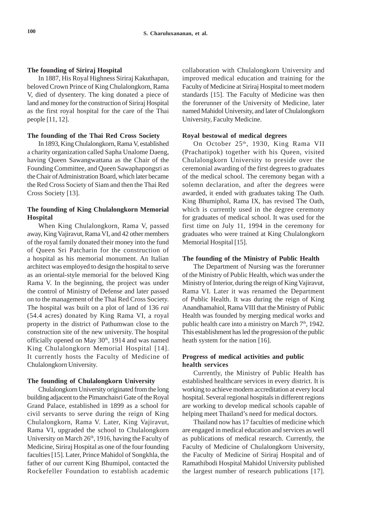## **The founding of Siriraj Hospital**

In 1887, His Royal Highness Siriraj Kakuthapan, beloved Crown Prince of King Chulalongkorn, Rama V, died of dysentery. The king donated a piece of land and money for the construction of Siriraj Hospital as the first royal hospital for the care of the Thai people [11, 12].

## **The founding of the Thai Red Cross Society**

In 1893, King Chulalongkorn, Rama V, established a charity organization called Sapha Unalome Daeng, having Queen Sawangwattana as the Chair of the Founding Committee, and Queen Sawaphapongsri as the Chair of Administration Board, which later became the Red Cross Society of Siam and then the Thai Red Cross Society [13].

# **The founding of King Chulalongkorn Memorial Hospital**

When King Chulalongkorn, Rama V, passed away, King Vajiravut, Rama VI, and 42 other members of the royal family donated their money into the fund of Queen Sri Patcharin for the construction of a hospital as his memorial monument. An Italian architect was employed to design the hospital to serve as an oriental-style memorial for the beloved King Rama V. In the beginning, the project was under the control of Ministry of Defense and later passed on to the management of the Thai Red Cross Society. The hospital was built on a plot of land of 136 *rai* (54.4 acres) donated by King Rama VI, a royal property in the district of Pathumwan close to the construction site of the new university. The hospital officially opened on May 30<sup>th</sup>, 1914 and was named King Chulalongkorn Memorial Hospital [14]. It currently hosts the Faculty of Medicine of Chulalongkorn University.

#### **The founding of Chulalongkorn University**

Chulalongkorn University originated from the long building adjacent to the Pimanchaisri Gate of the Royal Grand Palace, established in 1899 as a school for civil servants to serve during the reign of King Chulalongkorn, Rama V. Later, King Vajiravut, Rama VI, upgraded the school to Chulalongkorn University on March 26<sup>th</sup>, 1916, having the Faculty of Medicine, Siriraj Hospital as one of the four founding faculties [15]. Later, Prince Mahidol of Songkhla, the father of our current King Bhumipol, contacted the Rockefeller Foundation to establish academic collaboration with Chulalongkorn University and improved medical education and training for the Faculty of Medicine at Siriraj Hospital to meet modern standards [15]. The Faculty of Medicine was then the forerunner of the University of Medicine, later named Mahidol University, and later of Chulalongkorn University, Faculty Medicine.

#### **Royal bestowal of medical degrees**

On October 25<sup>th</sup>, 1930, King Rama VII (Prachatipok) together with his Queen, visited Chulalongkorn University to preside over the ceremonial awarding of the first degrees to graduates of the medical school. The ceremony began with a solemn declaration, and after the degrees were awarded, it ended with graduates taking The Oath. King Bhumiphol, Rama IX, has revised The Oath, which is currently used in the degree ceremony for graduates of medical school. It was used for the first time on July 11, 1994 in the ceremony for graduates who were trained at King Chulalongkorn Memorial Hospital [15].

#### **The founding of the Ministry of Public Health**

The Department of Nursing was the forerunner of the Ministry of Public Health, which was under the Ministry of Interior, during the reign of King Vajiravut, Rama VI. Later it was renamed the Department of Public Health. It was during the reign of King Anandhamahiol, Rama VIII that the Ministry of Public Health was founded by merging medical works and public health care into a ministry on March 7<sup>th</sup>, 1942. This establishment has led the progression of the public heath system for the nation [16].

# **Progress of medical activities and public health services**

Currently, the Ministry of Public Health has established healthcare services in every district. It is working to achieve modern accreditation at every local hospital. Several regional hospitals in different regions are working to develop medical schools capable of helping meet Thailand's need for medical doctors.

Thailand now has 17 faculties of medicine which are engaged in medical education and services as well as publications of medical research. Currently, the Faculty of Medicine of Chulalongkorn University, the Faculty of Medicine of Siriraj Hospital and of Ramathibodi Hospital Mahidol University published the largest number of research publications [17].